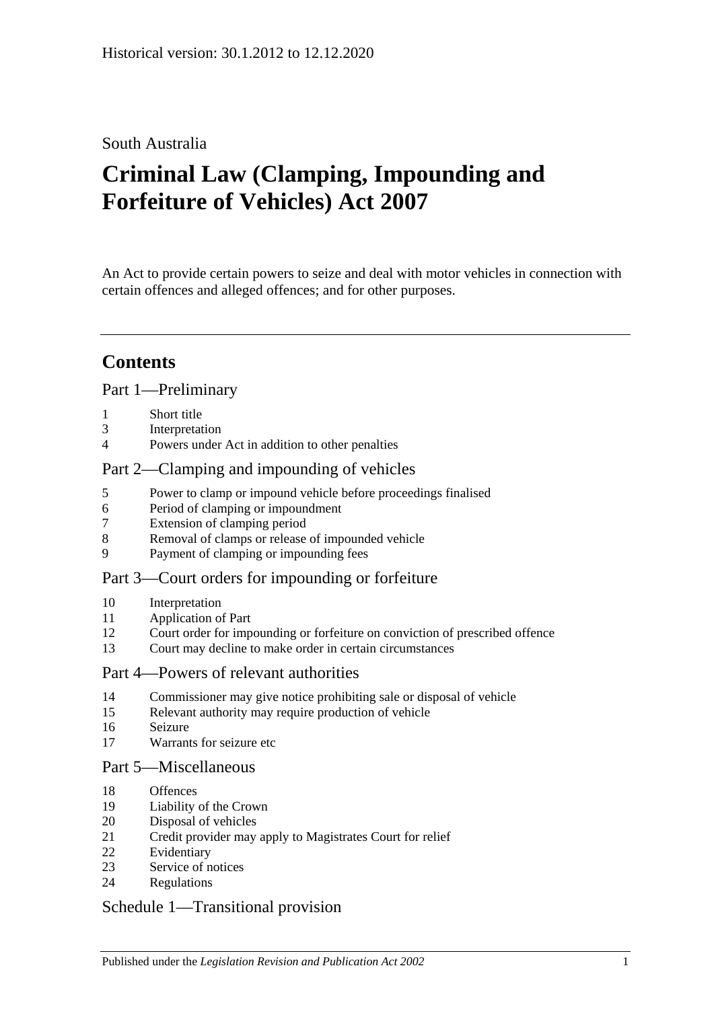# South Australia

# **Criminal Law (Clamping, Impounding and Forfeiture of Vehicles) Act 2007**

An Act to provide certain powers to seize and deal with motor vehicles in connection with certain offences and alleged offences; and for other purposes.

# **Contents**

#### [Part 1—Preliminary](#page-1-0)

- [Short title](#page-1-1)
- [Interpretation](#page-1-2)
- [Powers under Act in addition to other penalties](#page-2-0)

#### [Part 2—Clamping and impounding of vehicles](#page-2-1)

- [Power to clamp or impound vehicle before proceedings finalised](#page-2-2)
- [Period of clamping or impoundment](#page-3-0)
- [Extension of clamping period](#page-3-1)
- [Removal of clamps or release of impounded vehicle](#page-4-0)
- [Payment of clamping or impounding fees](#page-5-0)

#### [Part 3—Court orders for impounding or forfeiture](#page-6-0)

- [Interpretation](#page-6-1)
- [Application of Part](#page-6-2)
- [Court order for impounding or forfeiture on conviction of prescribed offence](#page-6-3)
- [Court may decline to make order in certain circumstances](#page-8-0)

#### [Part 4—Powers of relevant authorities](#page-8-1)

- [Commissioner may give notice prohibiting sale or disposal of vehicle](#page-8-2)
- [Relevant authority may require production of vehicle](#page-10-0)
- [Seizure](#page-10-1)
- [Warrants for seizure etc](#page-11-0)

#### [Part 5—Miscellaneous](#page-13-0)

- [Offences](#page-13-1)
- [Liability of the Crown](#page-13-2)
- [Disposal of vehicles](#page-13-3)
- [Credit provider may apply to Magistrates Court for relief](#page-15-0)
- [Evidentiary](#page-15-1)
- [Service of notices](#page-16-0)
- [Regulations](#page-16-1)

#### [Schedule 1—Transitional provision](#page-17-0)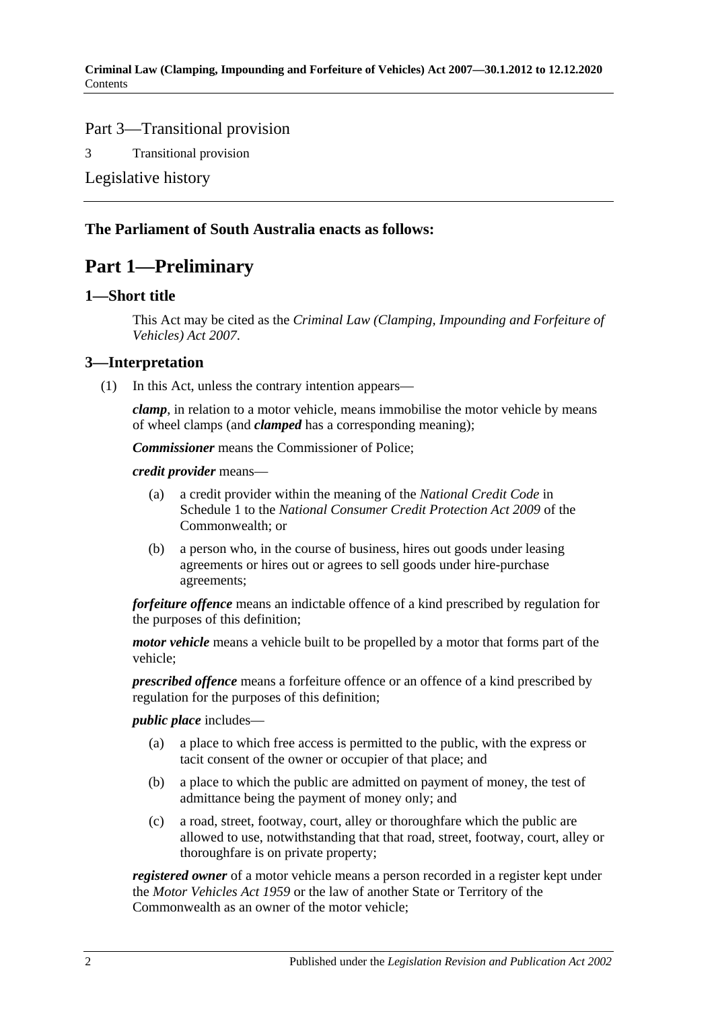#### Part 3—Transitional provision

3 [Transitional provision](#page-17-1)

[Legislative history](#page-18-0)

### <span id="page-1-0"></span>**The Parliament of South Australia enacts as follows:**

# **Part 1—Preliminary**

#### <span id="page-1-1"></span>**1—Short title**

This Act may be cited as the *Criminal Law (Clamping, Impounding and Forfeiture of Vehicles) Act 2007*.

#### <span id="page-1-2"></span>**3—Interpretation**

(1) In this Act, unless the contrary intention appears—

*clamp*, in relation to a motor vehicle, means immobilise the motor vehicle by means of wheel clamps (and *clamped* has a corresponding meaning);

*Commissioner* means the Commissioner of Police;

*credit provider* means—

- (a) a credit provider within the meaning of the *National Credit Code* in Schedule 1 to the *National Consumer Credit Protection Act 2009* of the Commonwealth; or
- (b) a person who, in the course of business, hires out goods under leasing agreements or hires out or agrees to sell goods under hire-purchase agreements;

*forfeiture offence* means an indictable offence of a kind prescribed by regulation for the purposes of this definition;

*motor vehicle* means a vehicle built to be propelled by a motor that forms part of the vehicle;

*prescribed offence* means a forfeiture offence or an offence of a kind prescribed by regulation for the purposes of this definition;

#### *public place* includes—

- (a) a place to which free access is permitted to the public, with the express or tacit consent of the owner or occupier of that place; and
- (b) a place to which the public are admitted on payment of money, the test of admittance being the payment of money only; and
- (c) a road, street, footway, court, alley or thoroughfare which the public are allowed to use, notwithstanding that that road, street, footway, court, alley or thoroughfare is on private property;

*registered owner* of a motor vehicle means a person recorded in a register kept under the *[Motor Vehicles Act](http://www.legislation.sa.gov.au/index.aspx?action=legref&type=act&legtitle=Motor%20Vehicles%20Act%201959) 1959* or the law of another State or Territory of the Commonwealth as an owner of the motor vehicle;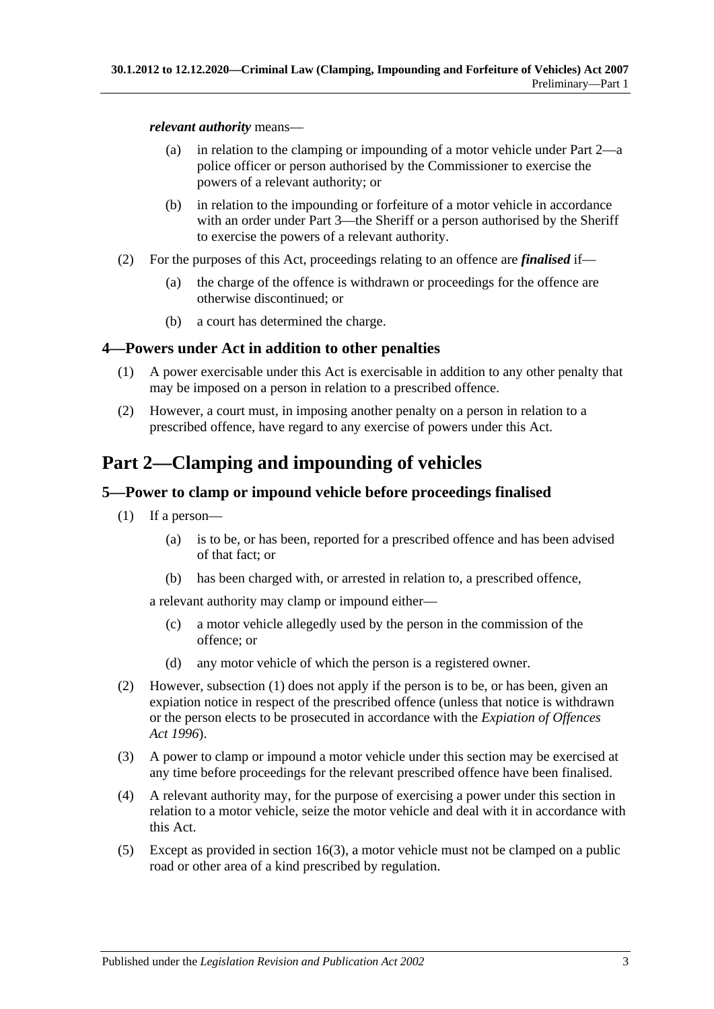#### *relevant authority* means—

- (a) in relation to the clamping or impounding of a motor vehicle under [Part 2—](#page-2-1)a police officer or person authorised by the Commissioner to exercise the powers of a relevant authority; or
- (b) in relation to the impounding or forfeiture of a motor vehicle in accordance with an order under [Part 3—](#page-6-0)the Sheriff or a person authorised by the Sheriff to exercise the powers of a relevant authority.
- (2) For the purposes of this Act, proceedings relating to an offence are *finalised* if—
	- (a) the charge of the offence is withdrawn or proceedings for the offence are otherwise discontinued; or
	- (b) a court has determined the charge.

# <span id="page-2-0"></span>**4—Powers under Act in addition to other penalties**

- (1) A power exercisable under this Act is exercisable in addition to any other penalty that may be imposed on a person in relation to a prescribed offence.
- (2) However, a court must, in imposing another penalty on a person in relation to a prescribed offence, have regard to any exercise of powers under this Act.

# <span id="page-2-1"></span>**Part 2—Clamping and impounding of vehicles**

# <span id="page-2-3"></span><span id="page-2-2"></span>**5—Power to clamp or impound vehicle before proceedings finalised**

- (1) If a person—
	- (a) is to be, or has been, reported for a prescribed offence and has been advised of that fact; or
	- (b) has been charged with, or arrested in relation to, a prescribed offence,

<span id="page-2-4"></span>a relevant authority may clamp or impound either—

- (c) a motor vehicle allegedly used by the person in the commission of the offence; or
- (d) any motor vehicle of which the person is a registered owner.
- (2) However, [subsection](#page-2-3) (1) does not apply if the person is to be, or has been, given an expiation notice in respect of the prescribed offence (unless that notice is withdrawn or the person elects to be prosecuted in accordance with the *[Expiation of Offences](http://www.legislation.sa.gov.au/index.aspx?action=legref&type=act&legtitle=Expiation%20of%20Offences%20Act%201996)  Act [1996](http://www.legislation.sa.gov.au/index.aspx?action=legref&type=act&legtitle=Expiation%20of%20Offences%20Act%201996)*).
- (3) A power to clamp or impound a motor vehicle under this section may be exercised at any time before proceedings for the relevant prescribed offence have been finalised.
- (4) A relevant authority may, for the purpose of exercising a power under this section in relation to a motor vehicle, seize the motor vehicle and deal with it in accordance with this Act.
- (5) Except as provided in [section](#page-11-1) 16(3), a motor vehicle must not be clamped on a public road or other area of a kind prescribed by regulation.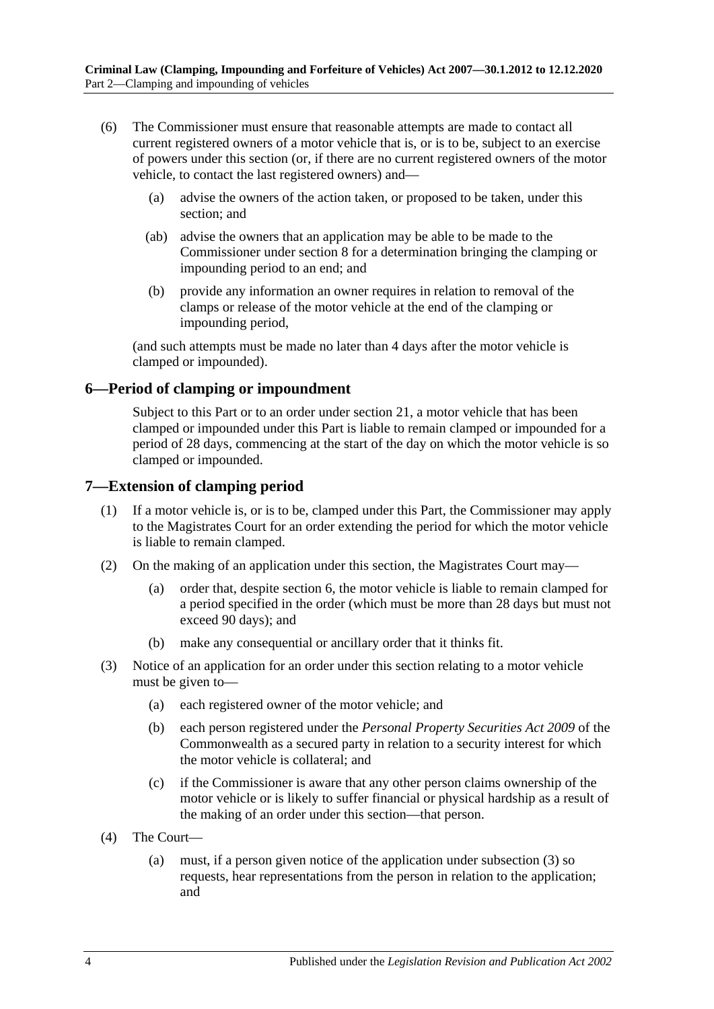- (6) The Commissioner must ensure that reasonable attempts are made to contact all current registered owners of a motor vehicle that is, or is to be, subject to an exercise of powers under this section (or, if there are no current registered owners of the motor vehicle, to contact the last registered owners) and—
	- (a) advise the owners of the action taken, or proposed to be taken, under this section; and
	- (ab) advise the owners that an application may be able to be made to the Commissioner under [section](#page-4-0) 8 for a determination bringing the clamping or impounding period to an end; and
	- (b) provide any information an owner requires in relation to removal of the clamps or release of the motor vehicle at the end of the clamping or impounding period,

(and such attempts must be made no later than 4 days after the motor vehicle is clamped or impounded).

#### <span id="page-3-0"></span>**6—Period of clamping or impoundment**

Subject to this Part or to an order under [section](#page-15-0) 21, a motor vehicle that has been clamped or impounded under this Part is liable to remain clamped or impounded for a period of 28 days, commencing at the start of the day on which the motor vehicle is so clamped or impounded.

#### <span id="page-3-1"></span>**7—Extension of clamping period**

- (1) If a motor vehicle is, or is to be, clamped under this Part, the Commissioner may apply to the Magistrates Court for an order extending the period for which the motor vehicle is liable to remain clamped.
- (2) On the making of an application under this section, the Magistrates Court may—
	- (a) order that, despite [section](#page-3-0) 6, the motor vehicle is liable to remain clamped for a period specified in the order (which must be more than 28 days but must not exceed 90 days); and
	- (b) make any consequential or ancillary order that it thinks fit.
- <span id="page-3-2"></span>(3) Notice of an application for an order under this section relating to a motor vehicle must be given to—
	- (a) each registered owner of the motor vehicle; and
	- (b) each person registered under the *Personal Property Securities Act 2009* of the Commonwealth as a secured party in relation to a security interest for which the motor vehicle is collateral; and
	- (c) if the Commissioner is aware that any other person claims ownership of the motor vehicle or is likely to suffer financial or physical hardship as a result of the making of an order under this section—that person.
- (4) The Court—
	- (a) must, if a person given notice of the application under [subsection](#page-3-2) (3) so requests, hear representations from the person in relation to the application; and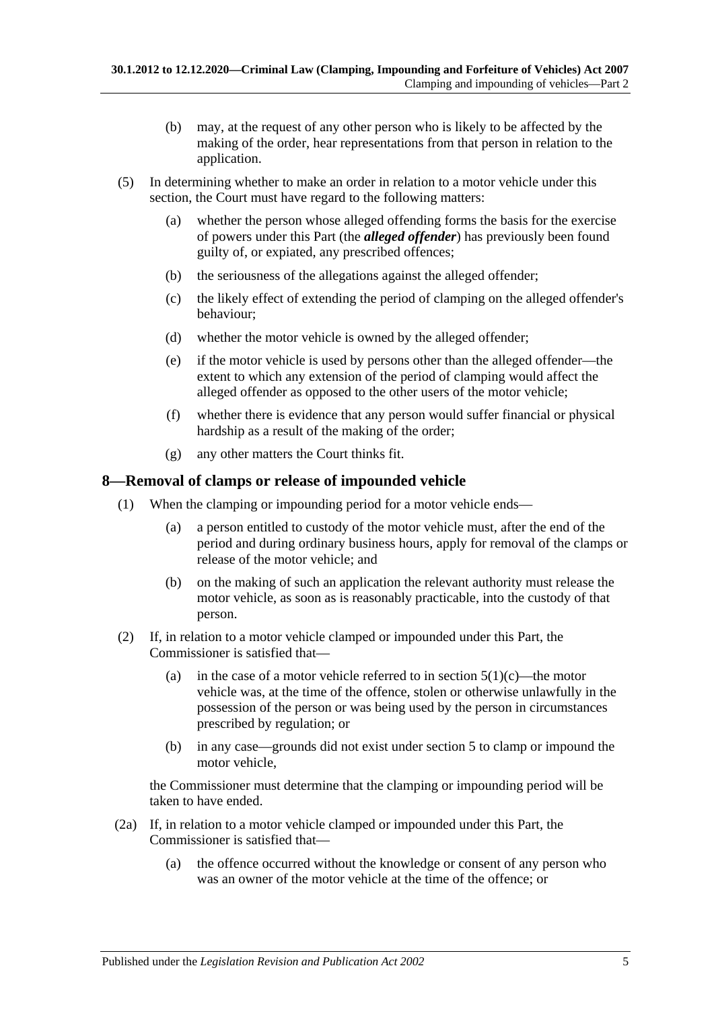- (b) may, at the request of any other person who is likely to be affected by the making of the order, hear representations from that person in relation to the application.
- (5) In determining whether to make an order in relation to a motor vehicle under this section, the Court must have regard to the following matters:
	- (a) whether the person whose alleged offending forms the basis for the exercise of powers under this Part (the *alleged offender*) has previously been found guilty of, or expiated, any prescribed offences;
	- (b) the seriousness of the allegations against the alleged offender;
	- (c) the likely effect of extending the period of clamping on the alleged offender's behaviour;
	- (d) whether the motor vehicle is owned by the alleged offender;
	- (e) if the motor vehicle is used by persons other than the alleged offender—the extent to which any extension of the period of clamping would affect the alleged offender as opposed to the other users of the motor vehicle;
	- (f) whether there is evidence that any person would suffer financial or physical hardship as a result of the making of the order;
	- (g) any other matters the Court thinks fit.

#### <span id="page-4-0"></span>**8—Removal of clamps or release of impounded vehicle**

- (1) When the clamping or impounding period for a motor vehicle ends—
	- (a) a person entitled to custody of the motor vehicle must, after the end of the period and during ordinary business hours, apply for removal of the clamps or release of the motor vehicle; and
	- (b) on the making of such an application the relevant authority must release the motor vehicle, as soon as is reasonably practicable, into the custody of that person.
- <span id="page-4-1"></span>(2) If, in relation to a motor vehicle clamped or impounded under this Part, the Commissioner is satisfied that
	- (a) in the case of a motor vehicle referred to in [section](#page-2-4)  $5(1)(c)$ —the motor vehicle was, at the time of the offence, stolen or otherwise unlawfully in the possession of the person or was being used by the person in circumstances prescribed by regulation; or
	- (b) in any case—grounds did not exist under [section](#page-2-2) 5 to clamp or impound the motor vehicle,

the Commissioner must determine that the clamping or impounding period will be taken to have ended.

- <span id="page-4-2"></span>(2a) If, in relation to a motor vehicle clamped or impounded under this Part, the Commissioner is satisfied that—
	- (a) the offence occurred without the knowledge or consent of any person who was an owner of the motor vehicle at the time of the offence; or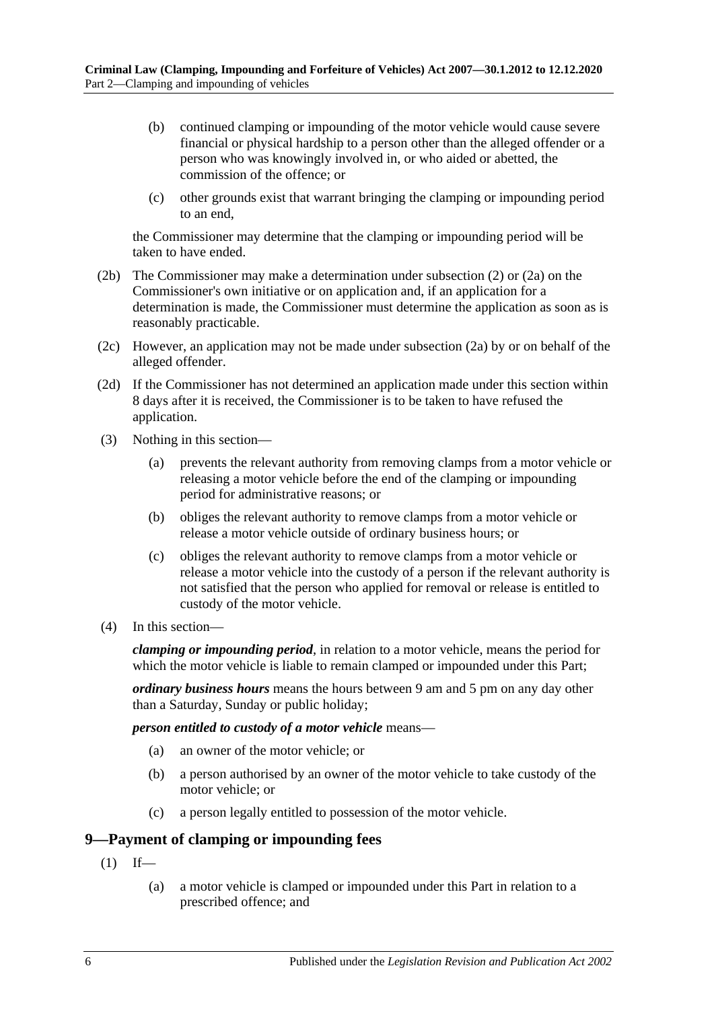- (b) continued clamping or impounding of the motor vehicle would cause severe financial or physical hardship to a person other than the alleged offender or a person who was knowingly involved in, or who aided or abetted, the commission of the offence; or
- (c) other grounds exist that warrant bringing the clamping or impounding period to an end,

the Commissioner may determine that the clamping or impounding period will be taken to have ended.

- (2b) The Commissioner may make a determination under [subsection](#page-4-1) (2) or [\(2a\)](#page-4-2) on the Commissioner's own initiative or on application and, if an application for a determination is made, the Commissioner must determine the application as soon as is reasonably practicable.
- (2c) However, an application may not be made under [subsection](#page-4-2) (2a) by or on behalf of the alleged offender.
- (2d) If the Commissioner has not determined an application made under this section within 8 days after it is received, the Commissioner is to be taken to have refused the application.
- (3) Nothing in this section—
	- (a) prevents the relevant authority from removing clamps from a motor vehicle or releasing a motor vehicle before the end of the clamping or impounding period for administrative reasons; or
	- (b) obliges the relevant authority to remove clamps from a motor vehicle or release a motor vehicle outside of ordinary business hours; or
	- (c) obliges the relevant authority to remove clamps from a motor vehicle or release a motor vehicle into the custody of a person if the relevant authority is not satisfied that the person who applied for removal or release is entitled to custody of the motor vehicle.
- (4) In this section—

*clamping or impounding period*, in relation to a motor vehicle, means the period for which the motor vehicle is liable to remain clamped or impounded under this Part;

*ordinary business hours* means the hours between 9 am and 5 pm on any day other than a Saturday, Sunday or public holiday;

*person entitled to custody of a motor vehicle* means—

- (a) an owner of the motor vehicle; or
- (b) a person authorised by an owner of the motor vehicle to take custody of the motor vehicle; or
- (c) a person legally entitled to possession of the motor vehicle.

#### <span id="page-5-1"></span><span id="page-5-0"></span>**9—Payment of clamping or impounding fees**

- $(1)$  If—
	- (a) a motor vehicle is clamped or impounded under this Part in relation to a prescribed offence; and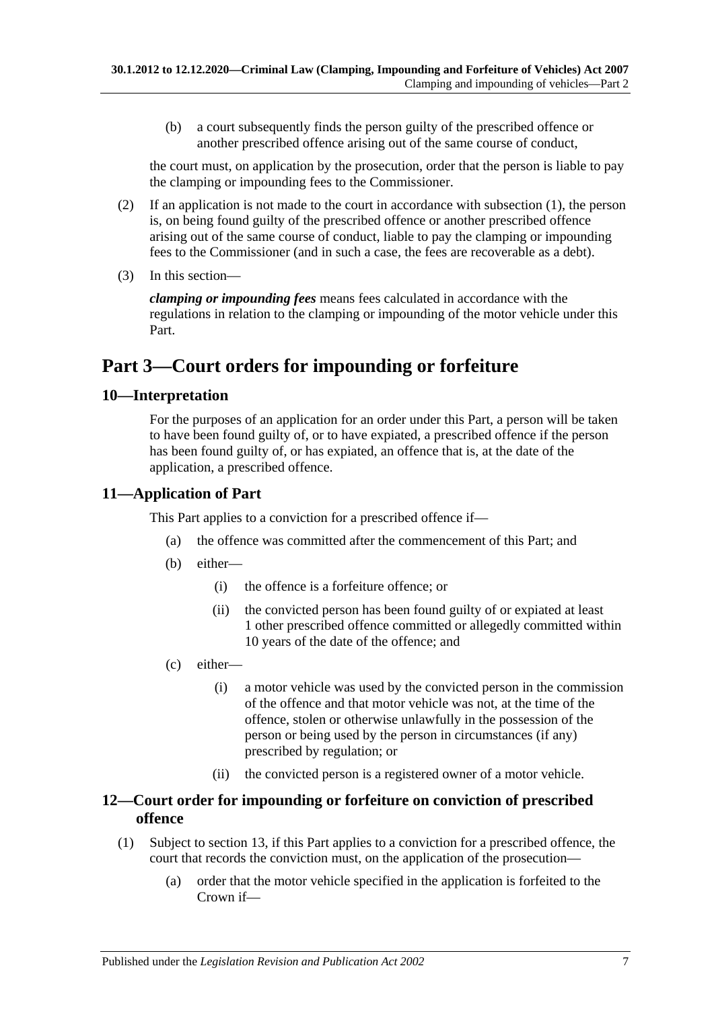(b) a court subsequently finds the person guilty of the prescribed offence or another prescribed offence arising out of the same course of conduct,

the court must, on application by the prosecution, order that the person is liable to pay the clamping or impounding fees to the Commissioner.

- (2) If an application is not made to the court in accordance with [subsection](#page-5-1) (1), the person is, on being found guilty of the prescribed offence or another prescribed offence arising out of the same course of conduct, liable to pay the clamping or impounding fees to the Commissioner (and in such a case, the fees are recoverable as a debt).
- (3) In this section—

*clamping or impounding fees* means fees calculated in accordance with the regulations in relation to the clamping or impounding of the motor vehicle under this Part.

# <span id="page-6-0"></span>**Part 3—Court orders for impounding or forfeiture**

### <span id="page-6-1"></span>**10—Interpretation**

For the purposes of an application for an order under this Part, a person will be taken to have been found guilty of, or to have expiated, a prescribed offence if the person has been found guilty of, or has expiated, an offence that is, at the date of the application, a prescribed offence.

# <span id="page-6-2"></span>**11—Application of Part**

This Part applies to a conviction for a prescribed offence if—

- (a) the offence was committed after the commencement of this Part; and
- (b) either—
	- (i) the offence is a forfeiture offence; or
	- (ii) the convicted person has been found guilty of or expiated at least 1 other prescribed offence committed or allegedly committed within 10 years of the date of the offence; and
- <span id="page-6-6"></span>(c) either—
	- (i) a motor vehicle was used by the convicted person in the commission of the offence and that motor vehicle was not, at the time of the offence, stolen or otherwise unlawfully in the possession of the person or being used by the person in circumstances (if any) prescribed by regulation; or
	- (ii) the convicted person is a registered owner of a motor vehicle.

### <span id="page-6-3"></span>**12—Court order for impounding or forfeiture on conviction of prescribed offence**

- <span id="page-6-5"></span><span id="page-6-4"></span>(1) Subject to [section](#page-8-0) 13, if this Part applies to a conviction for a prescribed offence, the court that records the conviction must, on the application of the prosecution—
	- (a) order that the motor vehicle specified in the application is forfeited to the Crown if—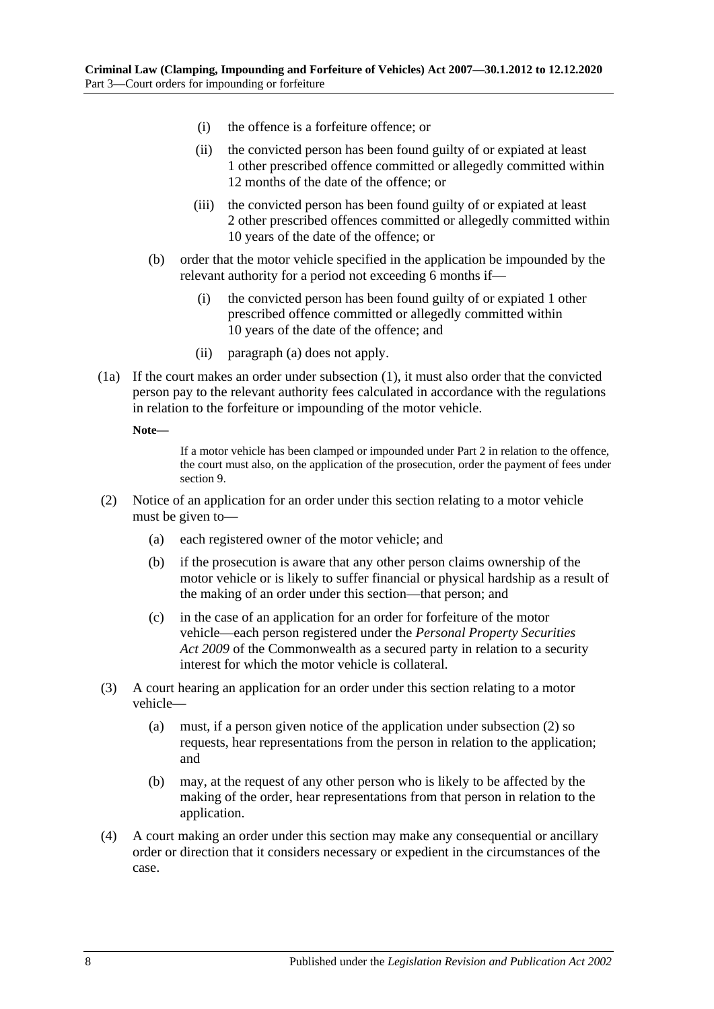- (i) the offence is a forfeiture offence; or
- (ii) the convicted person has been found guilty of or expiated at least 1 other prescribed offence committed or allegedly committed within 12 months of the date of the offence; or
- (iii) the convicted person has been found guilty of or expiated at least 2 other prescribed offences committed or allegedly committed within 10 years of the date of the offence; or
- (b) order that the motor vehicle specified in the application be impounded by the relevant authority for a period not exceeding 6 months if—
	- (i) the convicted person has been found guilty of or expiated 1 other prescribed offence committed or allegedly committed within 10 years of the date of the offence; and
	- (ii) [paragraph](#page-6-4) (a) does not apply.
- (1a) If the court makes an order under [subsection](#page-6-5) (1), it must also order that the convicted person pay to the relevant authority fees calculated in accordance with the regulations in relation to the forfeiture or impounding of the motor vehicle.

**Note—**

If a motor vehicle has been clamped or impounded under [Part 2](#page-2-1) in relation to the offence, the court must also, on the application of the prosecution, order the payment of fees under [section](#page-5-0) 9.

- <span id="page-7-0"></span>(2) Notice of an application for an order under this section relating to a motor vehicle must be given to—
	- (a) each registered owner of the motor vehicle; and
	- (b) if the prosecution is aware that any other person claims ownership of the motor vehicle or is likely to suffer financial or physical hardship as a result of the making of an order under this section—that person; and
	- (c) in the case of an application for an order for forfeiture of the motor vehicle—each person registered under the *Personal Property Securities Act 2009* of the Commonwealth as a secured party in relation to a security interest for which the motor vehicle is collateral.
- (3) A court hearing an application for an order under this section relating to a motor vehicle—
	- (a) must, if a person given notice of the application under [subsection](#page-7-0) (2) so requests, hear representations from the person in relation to the application; and
	- (b) may, at the request of any other person who is likely to be affected by the making of the order, hear representations from that person in relation to the application.
- (4) A court making an order under this section may make any consequential or ancillary order or direction that it considers necessary or expedient in the circumstances of the case.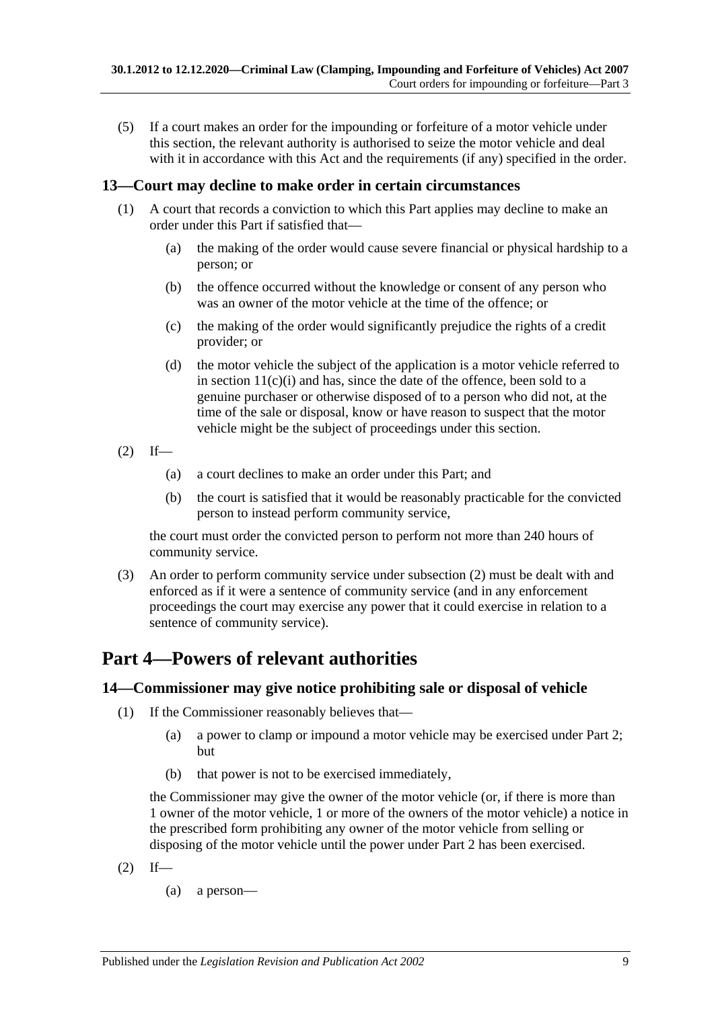(5) If a court makes an order for the impounding or forfeiture of a motor vehicle under this section, the relevant authority is authorised to seize the motor vehicle and deal with it in accordance with this Act and the requirements (if any) specified in the order.

#### <span id="page-8-0"></span>**13—Court may decline to make order in certain circumstances**

- (1) A court that records a conviction to which this Part applies may decline to make an order under this Part if satisfied that—
	- (a) the making of the order would cause severe financial or physical hardship to a person; or
	- (b) the offence occurred without the knowledge or consent of any person who was an owner of the motor vehicle at the time of the offence; or
	- (c) the making of the order would significantly prejudice the rights of a credit provider; or
	- (d) the motor vehicle the subject of the application is a motor vehicle referred to in section  $11(c)(i)$  and has, since the date of the offence, been sold to a genuine purchaser or otherwise disposed of to a person who did not, at the time of the sale or disposal, know or have reason to suspect that the motor vehicle might be the subject of proceedings under this section.
- <span id="page-8-3"></span> $(2)$  If—
	- (a) a court declines to make an order under this Part; and
	- (b) the court is satisfied that it would be reasonably practicable for the convicted person to instead perform community service,

the court must order the convicted person to perform not more than 240 hours of community service.

(3) An order to perform community service under [subsection](#page-8-3) (2) must be dealt with and enforced as if it were a sentence of community service (and in any enforcement proceedings the court may exercise any power that it could exercise in relation to a sentence of community service).

# <span id="page-8-1"></span>**Part 4—Powers of relevant authorities**

#### <span id="page-8-2"></span>**14—Commissioner may give notice prohibiting sale or disposal of vehicle**

- (1) If the Commissioner reasonably believes that—
	- (a) a power to clamp or impound a motor vehicle may be exercised under [Part 2;](#page-2-1) but
	- (b) that power is not to be exercised immediately,

the Commissioner may give the owner of the motor vehicle (or, if there is more than 1 owner of the motor vehicle, 1 or more of the owners of the motor vehicle) a notice in the prescribed form prohibiting any owner of the motor vehicle from selling or disposing of the motor vehicle until the power under [Part 2](#page-2-1) has been exercised.

- <span id="page-8-4"></span> $(2)$  If—
	- (a) a person—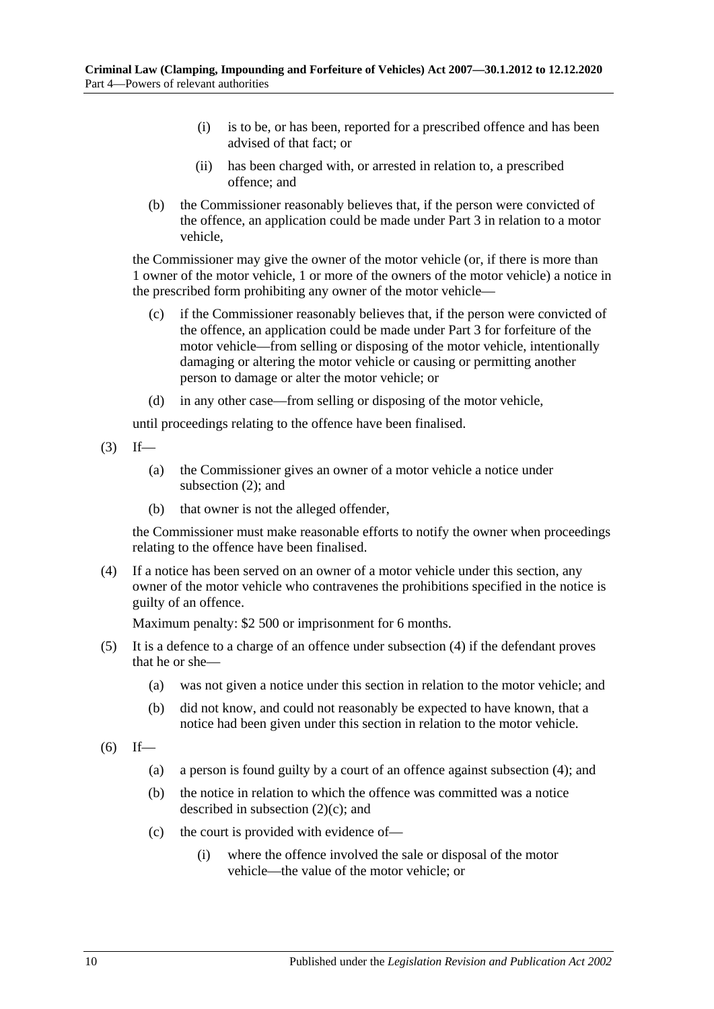- (i) is to be, or has been, reported for a prescribed offence and has been advised of that fact; or
- (ii) has been charged with, or arrested in relation to, a prescribed offence; and
- (b) the Commissioner reasonably believes that, if the person were convicted of the offence, an application could be made under [Part 3](#page-6-0) in relation to a motor vehicle,

the Commissioner may give the owner of the motor vehicle (or, if there is more than 1 owner of the motor vehicle, 1 or more of the owners of the motor vehicle) a notice in the prescribed form prohibiting any owner of the motor vehicle—

- <span id="page-9-1"></span>(c) if the Commissioner reasonably believes that, if the person were convicted of the offence, an application could be made under [Part 3](#page-6-0) for forfeiture of the motor vehicle—from selling or disposing of the motor vehicle, intentionally damaging or altering the motor vehicle or causing or permitting another person to damage or alter the motor vehicle; or
- (d) in any other case—from selling or disposing of the motor vehicle,

until proceedings relating to the offence have been finalised.

- $(3)$  If—
	- (a) the Commissioner gives an owner of a motor vehicle a notice under [subsection](#page-8-4) (2); and
	- (b) that owner is not the alleged offender,

the Commissioner must make reasonable efforts to notify the owner when proceedings relating to the offence have been finalised.

<span id="page-9-0"></span>(4) If a notice has been served on an owner of a motor vehicle under this section, any owner of the motor vehicle who contravenes the prohibitions specified in the notice is guilty of an offence.

Maximum penalty: \$2 500 or imprisonment for 6 months.

- (5) It is a defence to a charge of an offence under [subsection](#page-9-0) (4) if the defendant proves that he or she—
	- (a) was not given a notice under this section in relation to the motor vehicle; and
	- (b) did not know, and could not reasonably be expected to have known, that a notice had been given under this section in relation to the motor vehicle.
- <span id="page-9-3"></span><span id="page-9-2"></span> $(6)$  If—
	- (a) a person is found guilty by a court of an offence against [subsection](#page-9-0) (4); and
	- (b) the notice in relation to which the offence was committed was a notice described in [subsection](#page-9-1) (2)(c); and
	- (c) the court is provided with evidence of—
		- (i) where the offence involved the sale or disposal of the motor vehicle—the value of the motor vehicle; or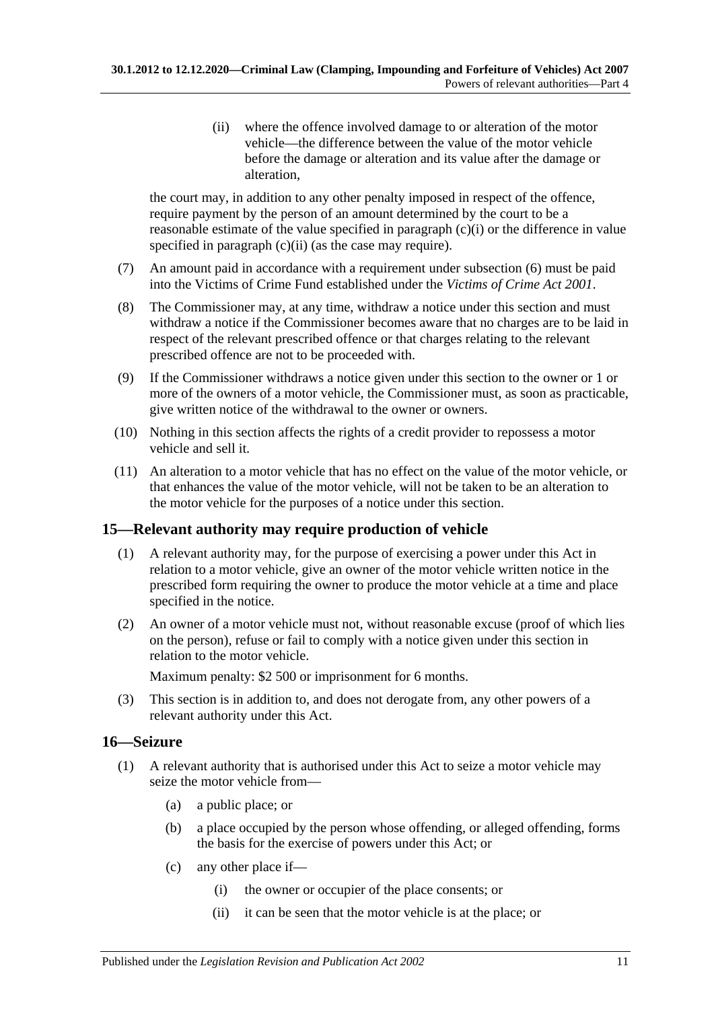(ii) where the offence involved damage to or alteration of the motor vehicle—the difference between the value of the motor vehicle before the damage or alteration and its value after the damage or alteration,

<span id="page-10-2"></span>the court may, in addition to any other penalty imposed in respect of the offence, require payment by the person of an amount determined by the court to be a reasonable estimate of the value specified in [paragraph](#page-9-2) (c)(i) or the difference in value specified in [paragraph](#page-10-2) (c)(ii) (as the case may require).

- (7) An amount paid in accordance with a requirement under [subsection](#page-9-3) (6) must be paid into the Victims of Crime Fund established under the *[Victims of Crime Act](http://www.legislation.sa.gov.au/index.aspx?action=legref&type=act&legtitle=Victims%20of%20Crime%20Act%202001) 2001*.
- (8) The Commissioner may, at any time, withdraw a notice under this section and must withdraw a notice if the Commissioner becomes aware that no charges are to be laid in respect of the relevant prescribed offence or that charges relating to the relevant prescribed offence are not to be proceeded with.
- (9) If the Commissioner withdraws a notice given under this section to the owner or 1 or more of the owners of a motor vehicle, the Commissioner must, as soon as practicable, give written notice of the withdrawal to the owner or owners.
- (10) Nothing in this section affects the rights of a credit provider to repossess a motor vehicle and sell it.
- (11) An alteration to a motor vehicle that has no effect on the value of the motor vehicle, or that enhances the value of the motor vehicle, will not be taken to be an alteration to the motor vehicle for the purposes of a notice under this section.

# <span id="page-10-0"></span>**15—Relevant authority may require production of vehicle**

- (1) A relevant authority may, for the purpose of exercising a power under this Act in relation to a motor vehicle, give an owner of the motor vehicle written notice in the prescribed form requiring the owner to produce the motor vehicle at a time and place specified in the notice.
- (2) An owner of a motor vehicle must not, without reasonable excuse (proof of which lies on the person), refuse or fail to comply with a notice given under this section in relation to the motor vehicle.

Maximum penalty: \$2 500 or imprisonment for 6 months.

(3) This section is in addition to, and does not derogate from, any other powers of a relevant authority under this Act.

#### <span id="page-10-1"></span>**16—Seizure**

- <span id="page-10-3"></span>(1) A relevant authority that is authorised under this Act to seize a motor vehicle may seize the motor vehicle from—
	- (a) a public place; or
	- (b) a place occupied by the person whose offending, or alleged offending, forms the basis for the exercise of powers under this Act; or
	- (c) any other place if—
		- (i) the owner or occupier of the place consents; or
		- (ii) it can be seen that the motor vehicle is at the place; or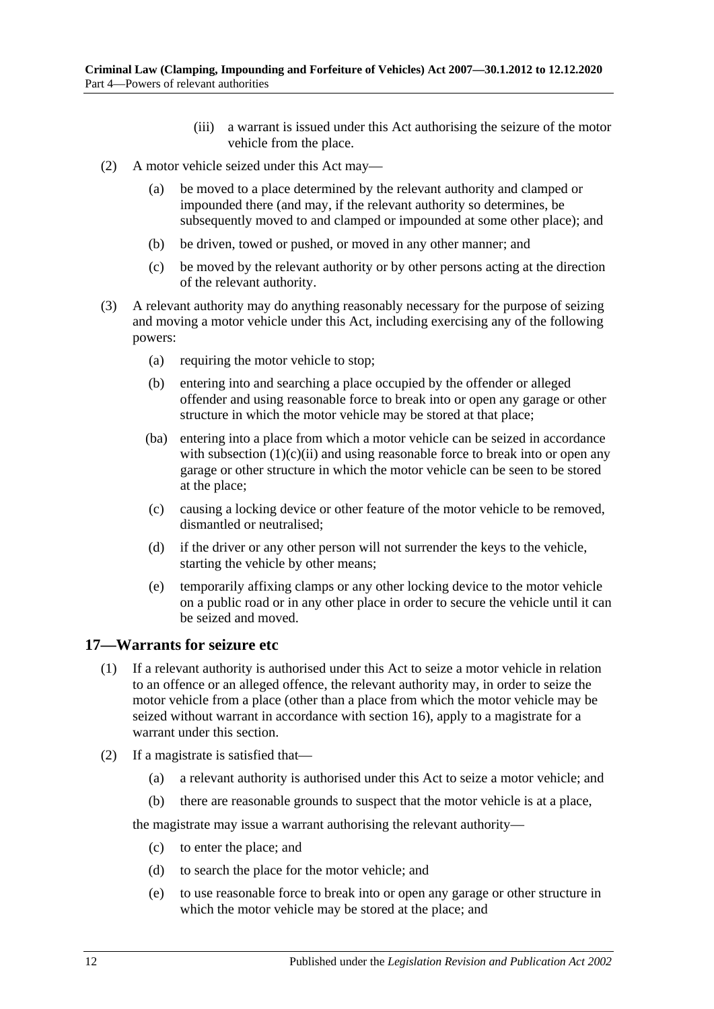- (iii) a warrant is issued under this Act authorising the seizure of the motor vehicle from the place.
- (2) A motor vehicle seized under this Act may—
	- (a) be moved to a place determined by the relevant authority and clamped or impounded there (and may, if the relevant authority so determines, be subsequently moved to and clamped or impounded at some other place); and
	- (b) be driven, towed or pushed, or moved in any other manner; and
	- (c) be moved by the relevant authority or by other persons acting at the direction of the relevant authority.
- <span id="page-11-1"></span>(3) A relevant authority may do anything reasonably necessary for the purpose of seizing and moving a motor vehicle under this Act, including exercising any of the following powers:
	- (a) requiring the motor vehicle to stop;
	- (b) entering into and searching a place occupied by the offender or alleged offender and using reasonable force to break into or open any garage or other structure in which the motor vehicle may be stored at that place;
	- (ba) entering into a place from which a motor vehicle can be seized in accordance with [subsection](#page-10-3)  $(1)(c)(ii)$  and using reasonable force to break into or open any garage or other structure in which the motor vehicle can be seen to be stored at the place;
	- (c) causing a locking device or other feature of the motor vehicle to be removed, dismantled or neutralised;
	- (d) if the driver or any other person will not surrender the keys to the vehicle, starting the vehicle by other means;
	- (e) temporarily affixing clamps or any other locking device to the motor vehicle on a public road or in any other place in order to secure the vehicle until it can be seized and moved.

#### <span id="page-11-0"></span>**17—Warrants for seizure etc**

- (1) If a relevant authority is authorised under this Act to seize a motor vehicle in relation to an offence or an alleged offence, the relevant authority may, in order to seize the motor vehicle from a place (other than a place from which the motor vehicle may be seized without warrant in accordance with [section](#page-10-1) 16), apply to a magistrate for a warrant under this section.
- (2) If a magistrate is satisfied that—
	- (a) a relevant authority is authorised under this Act to seize a motor vehicle; and
	- (b) there are reasonable grounds to suspect that the motor vehicle is at a place,

the magistrate may issue a warrant authorising the relevant authority—

- (c) to enter the place; and
- (d) to search the place for the motor vehicle; and
- (e) to use reasonable force to break into or open any garage or other structure in which the motor vehicle may be stored at the place; and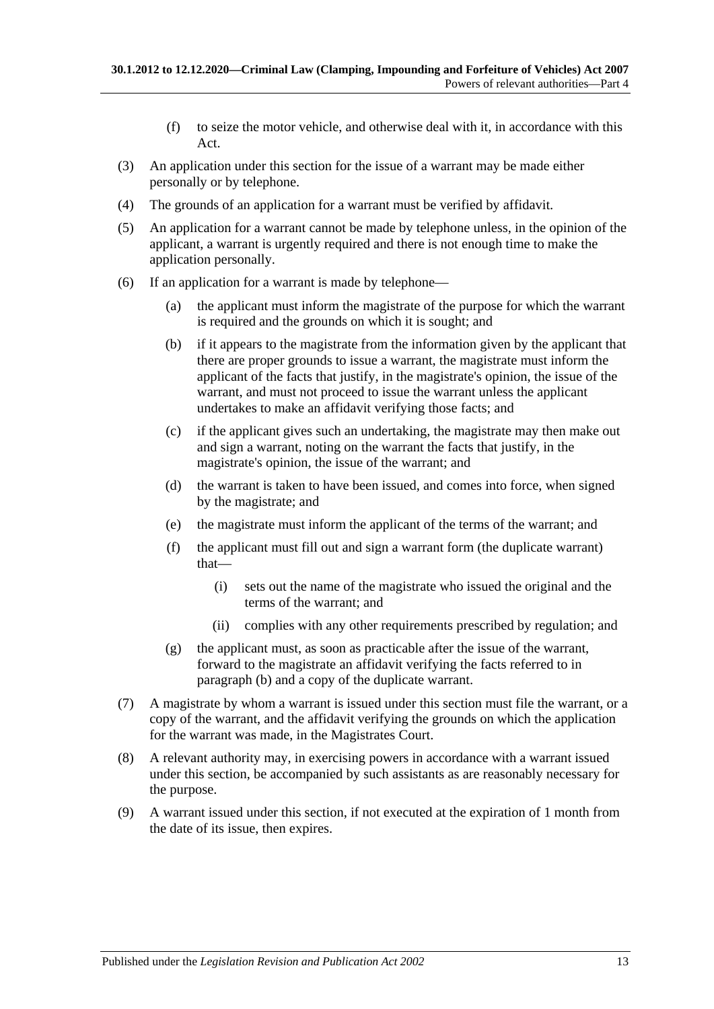- (f) to seize the motor vehicle, and otherwise deal with it, in accordance with this Act.
- (3) An application under this section for the issue of a warrant may be made either personally or by telephone.
- (4) The grounds of an application for a warrant must be verified by affidavit.
- (5) An application for a warrant cannot be made by telephone unless, in the opinion of the applicant, a warrant is urgently required and there is not enough time to make the application personally.
- <span id="page-12-0"></span>(6) If an application for a warrant is made by telephone—
	- (a) the applicant must inform the magistrate of the purpose for which the warrant is required and the grounds on which it is sought; and
	- (b) if it appears to the magistrate from the information given by the applicant that there are proper grounds to issue a warrant, the magistrate must inform the applicant of the facts that justify, in the magistrate's opinion, the issue of the warrant, and must not proceed to issue the warrant unless the applicant undertakes to make an affidavit verifying those facts; and
	- (c) if the applicant gives such an undertaking, the magistrate may then make out and sign a warrant, noting on the warrant the facts that justify, in the magistrate's opinion, the issue of the warrant; and
	- (d) the warrant is taken to have been issued, and comes into force, when signed by the magistrate; and
	- (e) the magistrate must inform the applicant of the terms of the warrant; and
	- (f) the applicant must fill out and sign a warrant form (the duplicate warrant) that—
		- (i) sets out the name of the magistrate who issued the original and the terms of the warrant; and
		- (ii) complies with any other requirements prescribed by regulation; and
	- (g) the applicant must, as soon as practicable after the issue of the warrant, forward to the magistrate an affidavit verifying the facts referred to in [paragraph](#page-12-0) (b) and a copy of the duplicate warrant.
- (7) A magistrate by whom a warrant is issued under this section must file the warrant, or a copy of the warrant, and the affidavit verifying the grounds on which the application for the warrant was made, in the Magistrates Court.
- (8) A relevant authority may, in exercising powers in accordance with a warrant issued under this section, be accompanied by such assistants as are reasonably necessary for the purpose.
- (9) A warrant issued under this section, if not executed at the expiration of 1 month from the date of its issue, then expires.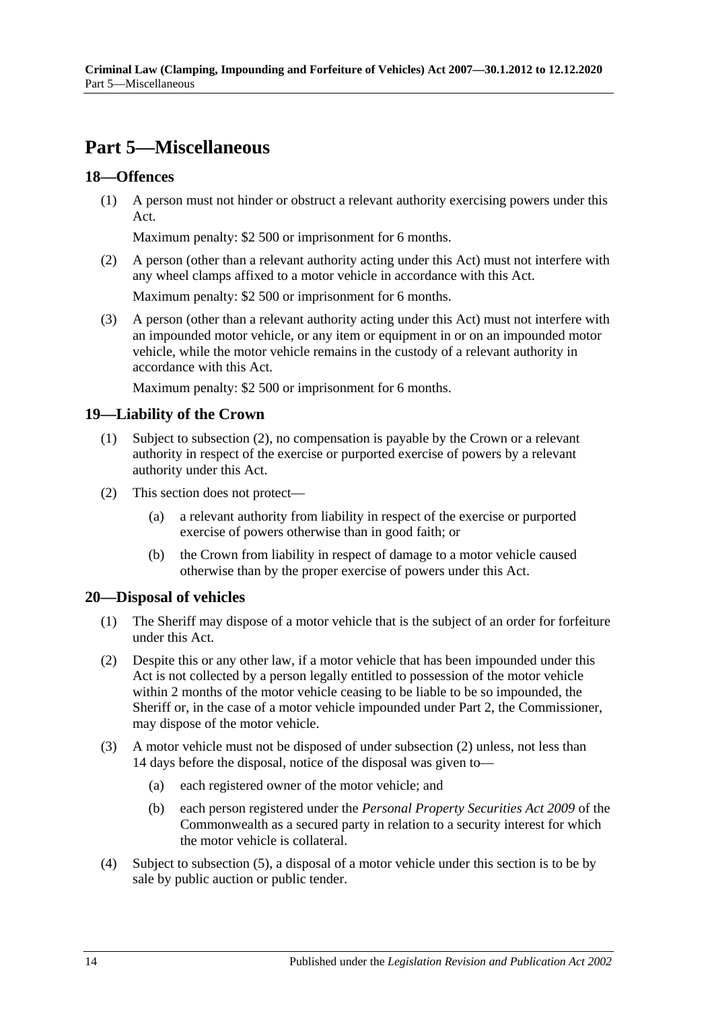# <span id="page-13-0"></span>**Part 5—Miscellaneous**

### <span id="page-13-1"></span>**18—Offences**

(1) A person must not hinder or obstruct a relevant authority exercising powers under this Act.

Maximum penalty: \$2 500 or imprisonment for 6 months.

(2) A person (other than a relevant authority acting under this Act) must not interfere with any wheel clamps affixed to a motor vehicle in accordance with this Act.

Maximum penalty: \$2 500 or imprisonment for 6 months.

(3) A person (other than a relevant authority acting under this Act) must not interfere with an impounded motor vehicle, or any item or equipment in or on an impounded motor vehicle, while the motor vehicle remains in the custody of a relevant authority in accordance with this Act.

Maximum penalty: \$2 500 or imprisonment for 6 months.

#### <span id="page-13-2"></span>**19—Liability of the Crown**

- (1) Subject to [subsection](#page-13-4) (2), no compensation is payable by the Crown or a relevant authority in respect of the exercise or purported exercise of powers by a relevant authority under this Act.
- <span id="page-13-4"></span>(2) This section does not protect—
	- (a) a relevant authority from liability in respect of the exercise or purported exercise of powers otherwise than in good faith; or
	- (b) the Crown from liability in respect of damage to a motor vehicle caused otherwise than by the proper exercise of powers under this Act.

#### <span id="page-13-3"></span>**20—Disposal of vehicles**

- (1) The Sheriff may dispose of a motor vehicle that is the subject of an order for forfeiture under this Act.
- <span id="page-13-5"></span>(2) Despite this or any other law, if a motor vehicle that has been impounded under this Act is not collected by a person legally entitled to possession of the motor vehicle within 2 months of the motor vehicle ceasing to be liable to be so impounded, the Sheriff or, in the case of a motor vehicle impounded under [Part 2,](#page-2-1) the Commissioner, may dispose of the motor vehicle.
- (3) A motor vehicle must not be disposed of under [subsection](#page-13-5) (2) unless, not less than 14 days before the disposal, notice of the disposal was given to—
	- (a) each registered owner of the motor vehicle; and
	- (b) each person registered under the *Personal Property Securities Act 2009* of the Commonwealth as a secured party in relation to a security interest for which the motor vehicle is collateral.
- (4) Subject to [subsection](#page-14-0) (5), a disposal of a motor vehicle under this section is to be by sale by public auction or public tender.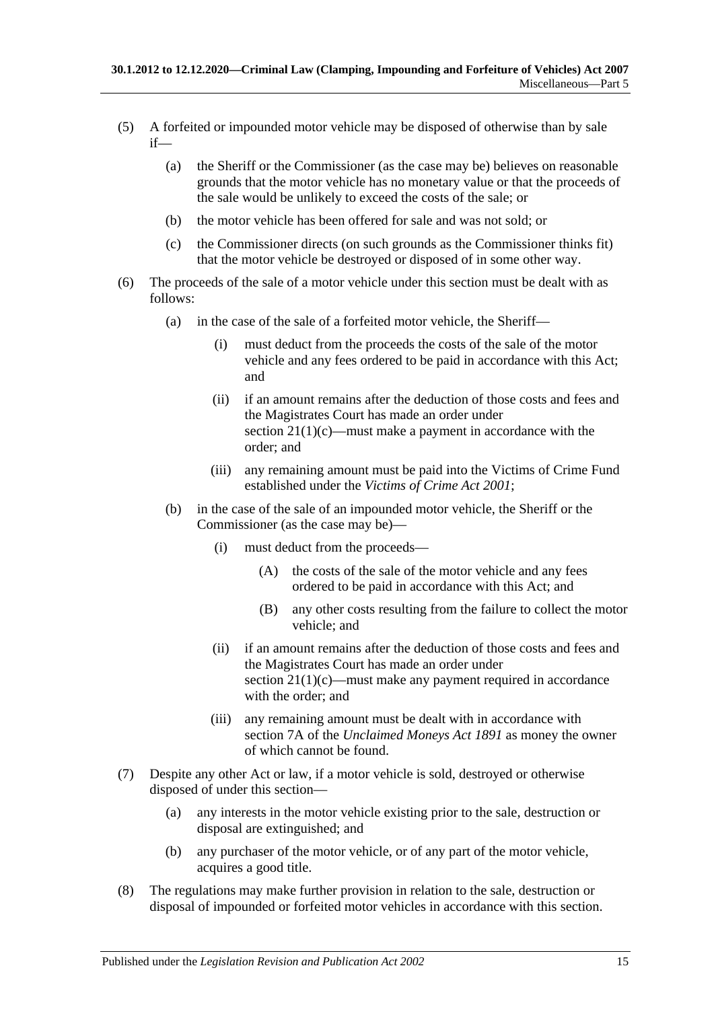- <span id="page-14-0"></span>(5) A forfeited or impounded motor vehicle may be disposed of otherwise than by sale if—
	- (a) the Sheriff or the Commissioner (as the case may be) believes on reasonable grounds that the motor vehicle has no monetary value or that the proceeds of the sale would be unlikely to exceed the costs of the sale; or
	- (b) the motor vehicle has been offered for sale and was not sold; or
	- (c) the Commissioner directs (on such grounds as the Commissioner thinks fit) that the motor vehicle be destroyed or disposed of in some other way.
- <span id="page-14-1"></span>(6) The proceeds of the sale of a motor vehicle under this section must be dealt with as follows:
	- (a) in the case of the sale of a forfeited motor vehicle, the Sheriff—
		- (i) must deduct from the proceeds the costs of the sale of the motor vehicle and any fees ordered to be paid in accordance with this Act; and
		- (ii) if an amount remains after the deduction of those costs and fees and the Magistrates Court has made an order under section  $21(1)(c)$ —must make a payment in accordance with the order; and
		- (iii) any remaining amount must be paid into the Victims of Crime Fund established under the *[Victims of Crime Act](http://www.legislation.sa.gov.au/index.aspx?action=legref&type=act&legtitle=Victims%20of%20Crime%20Act%202001) 2001*;
	- (b) in the case of the sale of an impounded motor vehicle, the Sheriff or the Commissioner (as the case may be)—
		- (i) must deduct from the proceeds—
			- (A) the costs of the sale of the motor vehicle and any fees ordered to be paid in accordance with this Act; and
			- (B) any other costs resulting from the failure to collect the motor vehicle; and
		- (ii) if an amount remains after the deduction of those costs and fees and the Magistrates Court has made an order under section  $21(1)(c)$ —must make any payment required in accordance with the order; and
		- (iii) any remaining amount must be dealt with in accordance with section 7A of the *[Unclaimed Moneys Act](http://www.legislation.sa.gov.au/index.aspx?action=legref&type=act&legtitle=Unclaimed%20Moneys%20Act%201891) 1891* as money the owner of which cannot be found.
- (7) Despite any other Act or law, if a motor vehicle is sold, destroyed or otherwise disposed of under this section—
	- (a) any interests in the motor vehicle existing prior to the sale, destruction or disposal are extinguished; and
	- (b) any purchaser of the motor vehicle, or of any part of the motor vehicle, acquires a good title.
- (8) The regulations may make further provision in relation to the sale, destruction or disposal of impounded or forfeited motor vehicles in accordance with this section.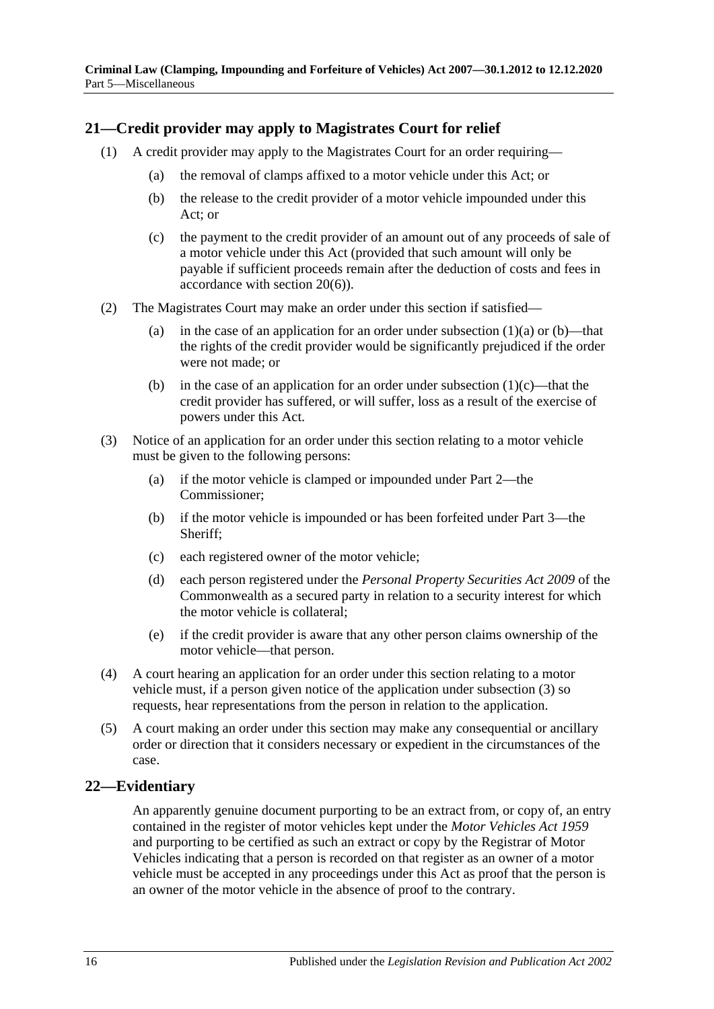### <span id="page-15-0"></span>**21—Credit provider may apply to Magistrates Court for relief**

- <span id="page-15-4"></span><span id="page-15-3"></span><span id="page-15-2"></span>(1) A credit provider may apply to the Magistrates Court for an order requiring—
	- (a) the removal of clamps affixed to a motor vehicle under this Act; or
	- (b) the release to the credit provider of a motor vehicle impounded under this Act; or
	- (c) the payment to the credit provider of an amount out of any proceeds of sale of a motor vehicle under this Act (provided that such amount will only be payable if sufficient proceeds remain after the deduction of costs and fees in accordance with [section](#page-14-1) 20(6)).
- (2) The Magistrates Court may make an order under this section if satisfied
	- (a) in the case of an application for an order under [subsection](#page-15-3)  $(1)(a)$  or  $(b)$ —that the rights of the credit provider would be significantly prejudiced if the order were not made; or
	- (b) in the case of an application for an order under [subsection](#page-15-2)  $(1)(c)$ —that the credit provider has suffered, or will suffer, loss as a result of the exercise of powers under this Act.
- <span id="page-15-5"></span>(3) Notice of an application for an order under this section relating to a motor vehicle must be given to the following persons:
	- (a) if the motor vehicle is clamped or impounded under [Part 2—](#page-2-1)the Commissioner;
	- (b) if the motor vehicle is impounded or has been forfeited under [Part 3—](#page-6-0)the Sheriff;
	- (c) each registered owner of the motor vehicle;
	- (d) each person registered under the *Personal Property Securities Act 2009* of the Commonwealth as a secured party in relation to a security interest for which the motor vehicle is collateral;
	- (e) if the credit provider is aware that any other person claims ownership of the motor vehicle—that person.
- (4) A court hearing an application for an order under this section relating to a motor vehicle must, if a person given notice of the application under [subsection](#page-15-5) (3) so requests, hear representations from the person in relation to the application.
- (5) A court making an order under this section may make any consequential or ancillary order or direction that it considers necessary or expedient in the circumstances of the case.

#### <span id="page-15-1"></span>**22—Evidentiary**

An apparently genuine document purporting to be an extract from, or copy of, an entry contained in the register of motor vehicles kept under the *[Motor Vehicles Act](http://www.legislation.sa.gov.au/index.aspx?action=legref&type=act&legtitle=Motor%20Vehicles%20Act%201959) 1959* and purporting to be certified as such an extract or copy by the Registrar of Motor Vehicles indicating that a person is recorded on that register as an owner of a motor vehicle must be accepted in any proceedings under this Act as proof that the person is an owner of the motor vehicle in the absence of proof to the contrary.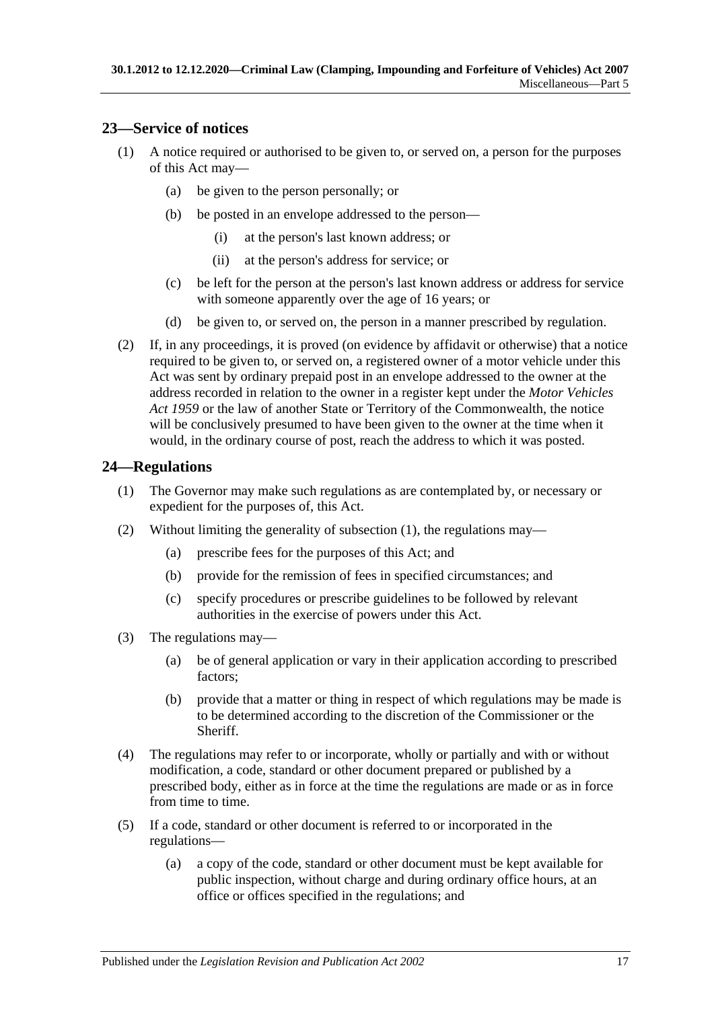### <span id="page-16-0"></span>**23—Service of notices**

- (1) A notice required or authorised to be given to, or served on, a person for the purposes of this Act may—
	- (a) be given to the person personally; or
	- (b) be posted in an envelope addressed to the person—
		- (i) at the person's last known address; or
		- (ii) at the person's address for service; or
	- (c) be left for the person at the person's last known address or address for service with someone apparently over the age of 16 years; or
	- (d) be given to, or served on, the person in a manner prescribed by regulation.
- (2) If, in any proceedings, it is proved (on evidence by affidavit or otherwise) that a notice required to be given to, or served on, a registered owner of a motor vehicle under this Act was sent by ordinary prepaid post in an envelope addressed to the owner at the address recorded in relation to the owner in a register kept under the *[Motor Vehicles](http://www.legislation.sa.gov.au/index.aspx?action=legref&type=act&legtitle=Motor%20Vehicles%20Act%201959)  Act [1959](http://www.legislation.sa.gov.au/index.aspx?action=legref&type=act&legtitle=Motor%20Vehicles%20Act%201959)* or the law of another State or Territory of the Commonwealth, the notice will be conclusively presumed to have been given to the owner at the time when it would, in the ordinary course of post, reach the address to which it was posted.

#### <span id="page-16-2"></span><span id="page-16-1"></span>**24—Regulations**

- (1) The Governor may make such regulations as are contemplated by, or necessary or expedient for the purposes of, this Act.
- (2) Without limiting the generality of [subsection](#page-16-2) (1), the regulations may—
	- (a) prescribe fees for the purposes of this Act; and
	- (b) provide for the remission of fees in specified circumstances; and
	- (c) specify procedures or prescribe guidelines to be followed by relevant authorities in the exercise of powers under this Act.
- (3) The regulations may—
	- (a) be of general application or vary in their application according to prescribed factors;
	- (b) provide that a matter or thing in respect of which regulations may be made is to be determined according to the discretion of the Commissioner or the **Sheriff**
- (4) The regulations may refer to or incorporate, wholly or partially and with or without modification, a code, standard or other document prepared or published by a prescribed body, either as in force at the time the regulations are made or as in force from time to time.
- (5) If a code, standard or other document is referred to or incorporated in the regulations—
	- (a) a copy of the code, standard or other document must be kept available for public inspection, without charge and during ordinary office hours, at an office or offices specified in the regulations; and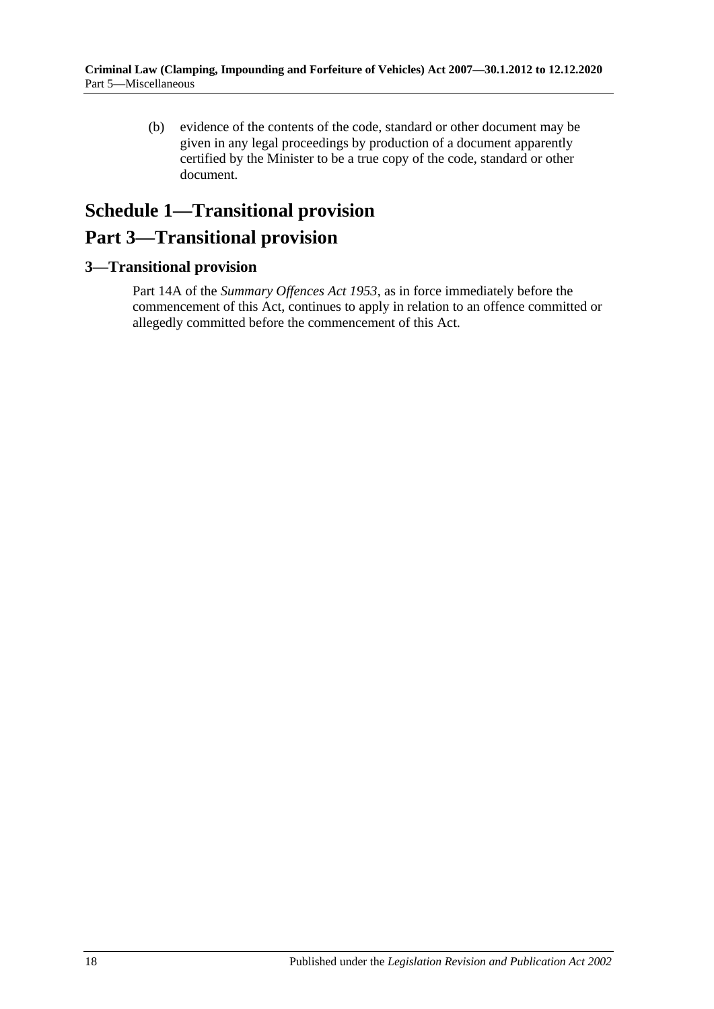(b) evidence of the contents of the code, standard or other document may be given in any legal proceedings by production of a document apparently certified by the Minister to be a true copy of the code, standard or other document.

# <span id="page-17-0"></span>**Schedule 1—Transitional provision Part 3—Transitional provision**

### <span id="page-17-1"></span>**3—Transitional provision**

Part 14A of the *[Summary Offences Act](http://www.legislation.sa.gov.au/index.aspx?action=legref&type=act&legtitle=Summary%20Offences%20Act%201953) 1953*, as in force immediately before the commencement of this Act, continues to apply in relation to an offence committed or allegedly committed before the commencement of this Act.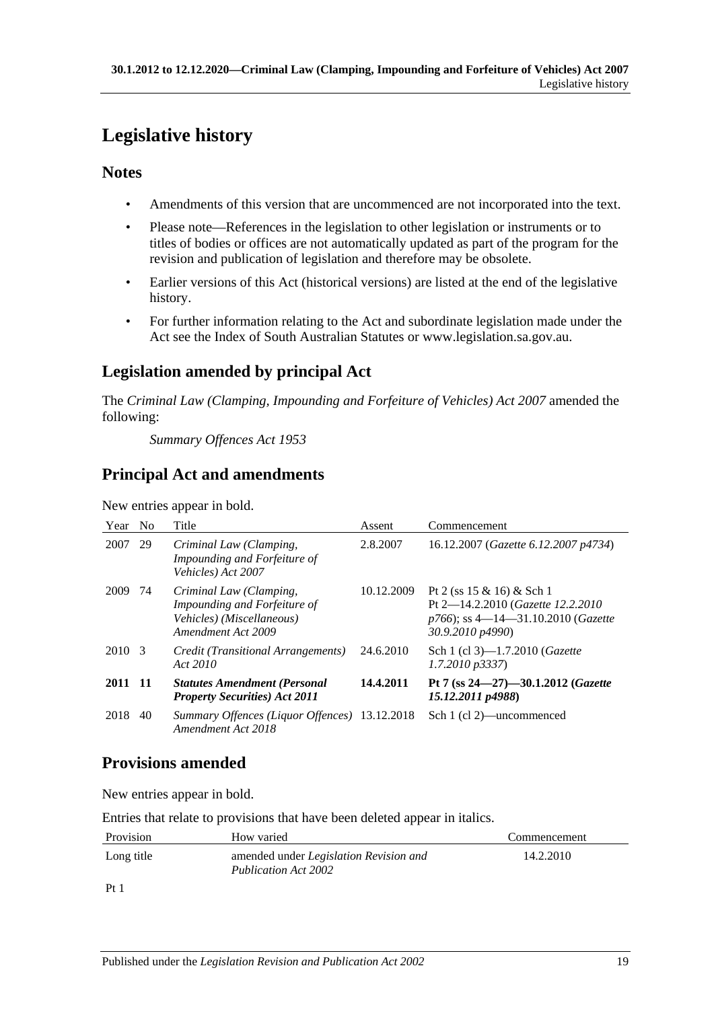# <span id="page-18-0"></span>**Legislative history**

# **Notes**

- Amendments of this version that are uncommenced are not incorporated into the text.
- Please note—References in the legislation to other legislation or instruments or to titles of bodies or offices are not automatically updated as part of the program for the revision and publication of legislation and therefore may be obsolete.
- Earlier versions of this Act (historical versions) are listed at the end of the legislative history.
- For further information relating to the Act and subordinate legislation made under the Act see the Index of South Australian Statutes or www.legislation.sa.gov.au.

# **Legislation amended by principal Act**

The *Criminal Law (Clamping, Impounding and Forfeiture of Vehicles) Act 2007* amended the following:

*Summary Offences Act 1953*

# **Principal Act and amendments**

New entries appear in bold.

| Year    | N <sub>o</sub> | Title                                                                                                      | Assent     | Commencement                                                                                                                    |
|---------|----------------|------------------------------------------------------------------------------------------------------------|------------|---------------------------------------------------------------------------------------------------------------------------------|
| 2007    | 29             | Criminal Law (Clamping,<br>Impounding and Forfeiture of<br>Vehicles) Act 2007                              | 2.8.2007   | 16.12.2007 (Gazette 6.12.2007 p4734)                                                                                            |
| 2009    | 74             | Criminal Law (Clamping,<br>Impounding and Forfeiture of<br>Vehicles) (Miscellaneous)<br>Amendment Act 2009 | 10.12.2009 | Pt 2 (ss $15 \& 16$ ) & Sch 1<br>Pt 2-14.2.2010 (Gazette 12.2.2010)<br>$p766$ ; ss 4—14—31.10.2010 (Gazette<br>30.9.2010 p4990) |
| 2010 3  |                | Credit (Transitional Arrangements)<br>Act 2010                                                             | 24.6.2010  | Sch 1 (cl 3)-1.7.2010 ( <i>Gazette</i><br>$1.7.2010$ $p3337$                                                                    |
| 2011 11 |                | <b>Statutes Amendment (Personal</b><br><b>Property Securities) Act 2011</b>                                | 14.4.2011  | Pt 7 (ss 24-27)-30.1.2012 (Gazette<br>15.12.2011 p4988)                                                                         |
| 2018    | 40             | Summary Offences (Liquor Offences) 13.12.2018<br>Amendment Act 2018                                        |            | Sch 1 (cl 2)—uncommenced                                                                                                        |

# **Provisions amended**

New entries appear in bold.

Entries that relate to provisions that have been deleted appear in italics.

| Provision                     | How varied                                                            | Commencement |
|-------------------------------|-----------------------------------------------------------------------|--------------|
| Long title                    | amended under <i>Legislation Revision and</i><br>Publication Act 2002 | 14.2.2010    |
| $\mathbf{D} \cdot \mathbf{1}$ |                                                                       |              |

Pt 1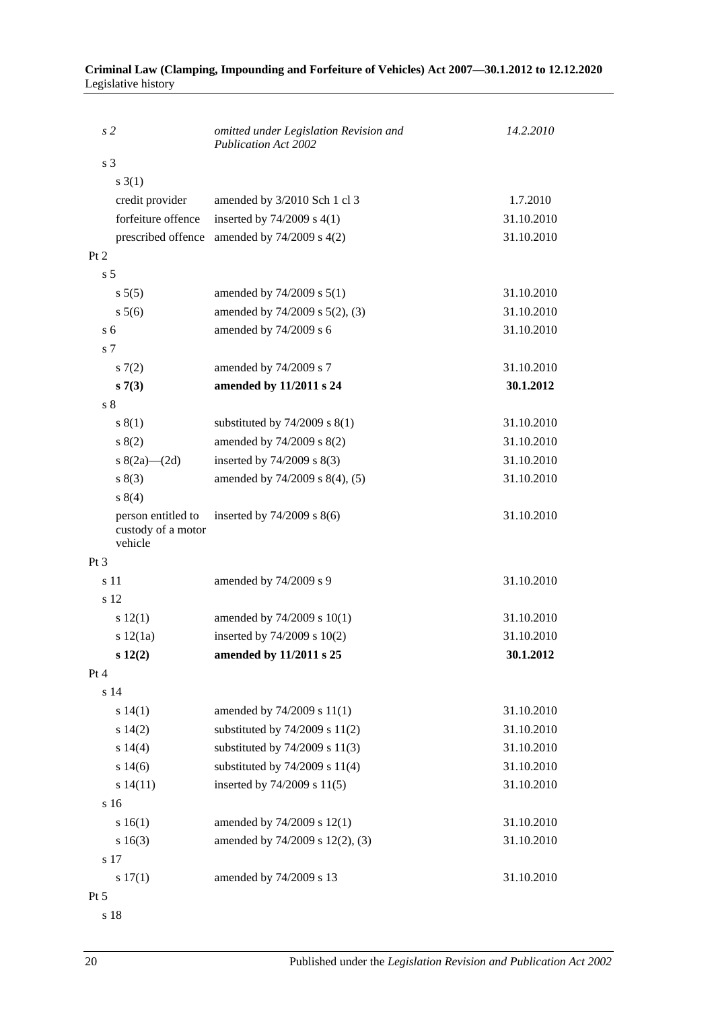| s <sub>2</sub> |                                                     | omitted under Legislation Revision and<br><b>Publication Act 2002</b> | 14.2.2010  |
|----------------|-----------------------------------------------------|-----------------------------------------------------------------------|------------|
| s <sub>3</sub> |                                                     |                                                                       |            |
|                | $s \; 3(1)$                                         |                                                                       |            |
|                | credit provider                                     | amended by 3/2010 Sch 1 cl 3                                          | 1.7.2010   |
|                | forfeiture offence                                  | inserted by $74/2009$ s $4(1)$                                        | 31.10.2010 |
|                | prescribed offence                                  | amended by 74/2009 s 4(2)                                             | 31.10.2010 |
| Pt 2           |                                                     |                                                                       |            |
| s <sub>5</sub> |                                                     |                                                                       |            |
|                | s 5(5)                                              | amended by 74/2009 s 5(1)                                             | 31.10.2010 |
|                | s 5(6)                                              | amended by 74/2009 s 5(2), (3)                                        | 31.10.2010 |
| s 6            |                                                     | amended by 74/2009 s 6                                                | 31.10.2010 |
| s <sub>7</sub> |                                                     |                                                                       |            |
|                | s(7(2)                                              | amended by 74/2009 s 7                                                | 31.10.2010 |
|                | s7(3)                                               | amended by 11/2011 s 24                                               | 30.1.2012  |
| s <sub>8</sub> |                                                     |                                                                       |            |
|                | s(1)                                                | substituted by $74/2009$ s $8(1)$                                     | 31.10.2010 |
|                | s(2)                                                | amended by 74/2009 s 8(2)                                             | 31.10.2010 |
|                | s $8(2a)$ (2d)                                      | inserted by 74/2009 s 8(3)                                            | 31.10.2010 |
|                | s(3)                                                | amended by 74/2009 s 8(4), (5)                                        | 31.10.2010 |
|                | s 8(4)                                              |                                                                       |            |
|                | person entitled to<br>custody of a motor<br>vehicle | inserted by $74/2009$ s $8(6)$                                        | 31.10.2010 |
| Pt 3           |                                                     |                                                                       |            |
| s 11           |                                                     | amended by 74/2009 s 9                                                | 31.10.2010 |
|                | s 12                                                |                                                                       |            |
|                | s 12(1)                                             | amended by 74/2009 s 10(1)                                            | 31.10.2010 |
|                | s 12(1a)                                            | inserted by 74/2009 s 10(2)                                           | 31.10.2010 |
|                | s 12(2)                                             | amended by 11/2011 s 25                                               | 30.1.2012  |
| Pt 4           |                                                     |                                                                       |            |
|                | s 14                                                |                                                                       |            |
|                | s 14(1)                                             | amended by 74/2009 s 11(1)                                            | 31.10.2010 |
|                | s 14(2)                                             | substituted by $74/2009$ s $11(2)$                                    | 31.10.2010 |
|                | s 14(4)                                             | substituted by $74/2009$ s $11(3)$                                    | 31.10.2010 |
|                | s 14(6)                                             | substituted by $74/2009$ s $11(4)$                                    | 31.10.2010 |
|                | s 14(11)                                            | inserted by 74/2009 s 11(5)                                           | 31.10.2010 |
|                | s <sub>16</sub>                                     |                                                                       |            |
|                | s 16(1)                                             | amended by 74/2009 s 12(1)                                            | 31.10.2010 |
|                | s 16(3)                                             | amended by 74/2009 s 12(2), (3)                                       | 31.10.2010 |
|                | s 17                                                |                                                                       |            |
|                | s 17(1)                                             | amended by 74/2009 s 13                                               | 31.10.2010 |
| Pt 5           |                                                     |                                                                       |            |

#### **Criminal Law (Clamping, Impounding and Forfeiture of Vehicles) Act 2007—30.1.2012 to 12.12.2020** Legislative history

s 18